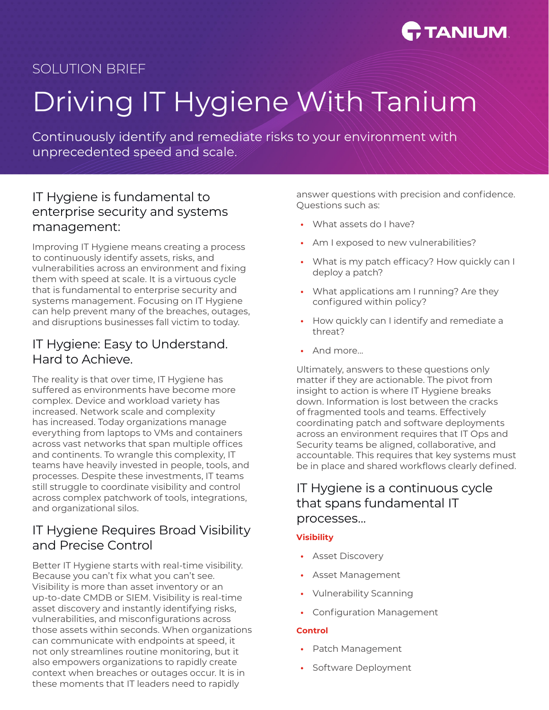

# SOLUTION BRIEF

# Driving IT Hygiene With Tanium

Continuously identify and remediate risks to your environment with unprecedented speed and scale.

## IT Hygiene is fundamental to enterprise security and systems management:

Improving IT Hygiene means creating a process to continuously identify assets, risks, and vulnerabilities across an environment and fixing them with speed at scale. It is a virtuous cycle that is fundamental to enterprise security and systems management. Focusing on IT Hygiene can help prevent many of the breaches, outages, and disruptions businesses fall victim to today.

## IT Hygiene: Easy to Understand. Hard to Achieve.

The reality is that over time, IT Hygiene has suffered as environments have become more complex. Device and workload variety has increased. Network scale and complexity has increased. Today organizations manage everything from laptops to VMs and containers across vast networks that span multiple offices and continents. To wrangle this complexity, IT teams have heavily invested in people, tools, and processes. Despite these investments, IT teams still struggle to coordinate visibility and control across complex patchwork of tools, integrations, and organizational silos.

## IT Hygiene Requires Broad Visibility and Precise Control

Better IT Hygiene starts with real-time visibility. Because you can't fix what you can't see. Visibility is more than asset inventory or an up-to-date CMDB or SIEM. Visibility is real-time asset discovery and instantly identifying risks, vulnerabilities, and misconfigurations across those assets within seconds. When organizations can communicate with endpoints at speed, it not only streamlines routine monitoring, but it also empowers organizations to rapidly create context when breaches or outages occur. It is in these moments that IT leaders need to rapidly

answer questions with precision and confidence. Questions such as:

- **•** What assets do I have?
- **•** Am I exposed to new vulnerabilities?
- **•** What is my patch efficacy? How quickly can I deploy a patch?
- **•** What applications am I running? Are they configured within policy?
- **•** How quickly can I identify and remediate a threat?
- **•** And more...

Ultimately, answers to these questions only matter if they are actionable. The pivot from insight to action is where IT Hygiene breaks down. Information is lost between the cracks of fragmented tools and teams. Effectively coordinating patch and software deployments across an environment requires that IT Ops and Security teams be aligned, collaborative, and accountable. This requires that key systems must be in place and shared workflows clearly defined.

## IT Hygiene is a continuous cycle that spans fundamental IT processes...

## **Visibility**

- **•** Asset Discovery
- **•** Asset Management
- **•** Vulnerability Scanning
- **•** Configuration Management

### **Control**

- **•** Patch Management
- **•** Software Deployment